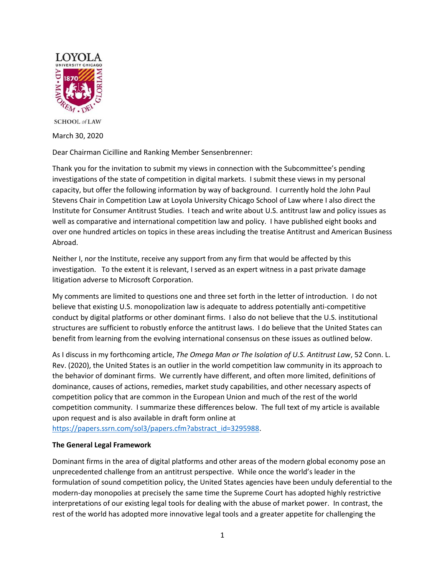

**SCHOOL** of LAW March 30, 2020

Dear Chairman Cicilline and Ranking Member Sensenbrenner:

Thank you for the invitation to submit my views in connection with the Subcommittee's pending investigations of the state of competition in digital markets. I submit these views in my personal capacity, but offer the following information by way of background. I currently hold the John Paul Stevens Chair in Competition Law at Loyola University Chicago School of Law where I also direct the Institute for Consumer Antitrust Studies. I teach and write about U.S. antitrust law and policy issues as well as comparative and international competition law and policy. I have published eight books and over one hundred articles on topics in these areas including the treatise Antitrust and American Business Abroad.

Neither I, nor the Institute, receive any support from any firm that would be affected by this investigation. To the extent it is relevant, I served as an expert witness in a past private damage litigation adverse to Microsoft Corporation.

My comments are limited to questions one and three set forth in the letter of introduction. I do not believe that existing U.S. monopolization law is adequate to address potentially anti-competitive conduct by digital platforms or other dominant firms. I also do not believe that the U.S. institutional structures are sufficient to robustly enforce the antitrust laws. I do believe that the United States can benefit from learning from the evolving international consensus on these issues as outlined below.

As I discuss in my forthcoming article, *The Omega Man or The Isolation of U.S. Antitrust Law*, 52 Conn. L. Rev. (2020), the United States is an outlier in the world competition law community in its approach to the behavior of dominant firms. We currently have different, and often more limited, definitions of dominance, causes of actions, remedies, market study capabilities, and other necessary aspects of competition policy that are common in the European Union and much of the rest of the world competition community. I summarize these differences below. The full text of my article is available upon request and is also available in draft form online at

[https://papers.ssrn.com/sol3/papers.cfm?abstract\\_id=3295988.](https://papers.ssrn.com/sol3/papers.cfm?abstract_id=3295988)

# **The General Legal Framework**

Dominant firms in the area of digital platforms and other areas of the modern global economy pose an unprecedented challenge from an antitrust perspective. While once the world's leader in the formulation of sound competition policy, the United States agencies have been unduly deferential to the modern-day monopolies at precisely the same time the Supreme Court has adopted highly restrictive interpretations of our existing legal tools for dealing with the abuse of market power. In contrast, the rest of the world has adopted more innovative legal tools and a greater appetite for challenging the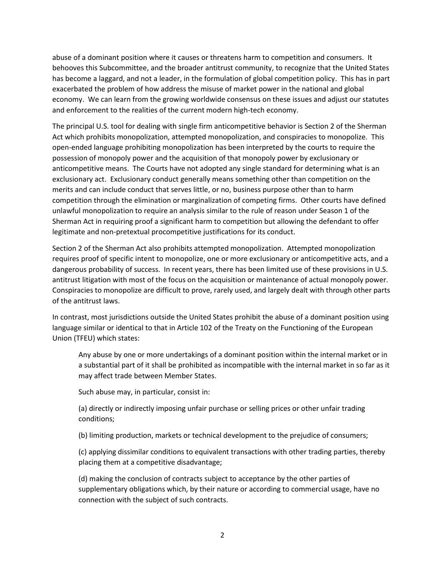abuse of a dominant position where it causes or threatens harm to competition and consumers. It behooves this Subcommittee, and the broader antitrust community, to recognize that the United States has become a laggard, and not a leader, in the formulation of global competition policy. This has in part exacerbated the problem of how address the misuse of market power in the national and global economy. We can learn from the growing worldwide consensus on these issues and adjust our statutes and enforcement to the realities of the current modern high-tech economy.

The principal U.S. tool for dealing with single firm anticompetitive behavior is Section 2 of the Sherman Act which prohibits monopolization, attempted monopolization, and conspiracies to monopolize. This open-ended language prohibiting monopolization has been interpreted by the courts to require the possession of monopoly power and the acquisition of that monopoly power by exclusionary or anticompetitive means. The Courts have not adopted any single standard for determining what is an exclusionary act. Exclusionary conduct generally means something other than competition on the merits and can include conduct that serves little, or no, business purpose other than to harm competition through the elimination or marginalization of competing firms. Other courts have defined unlawful monopolization to require an analysis similar to the rule of reason under Season 1 of the Sherman Act in requiring proof a significant harm to competition but allowing the defendant to offer legitimate and non-pretextual procompetitive justifications for its conduct.

Section 2 of the Sherman Act also prohibits attempted monopolization. Attempted monopolization requires proof of specific intent to monopolize, one or more exclusionary or anticompetitive acts, and a dangerous probability of success. In recent years, there has been limited use of these provisions in U.S. antitrust litigation with most of the focus on the acquisition or maintenance of actual monopoly power. Conspiracies to monopolize are difficult to prove, rarely used, and largely dealt with through other parts of the antitrust laws.

In contrast, most jurisdictions outside the United States prohibit the abuse of a dominant position using language similar or identical to that in Article 102 of the Treaty on the Functioning of the European Union (TFEU) which states:

Any abuse by one or more undertakings of a dominant position within the internal market or in a substantial part of it shall be prohibited as incompatible with the internal market in so far as it may affect trade between Member States.

Such abuse may, in particular, consist in:

(a) directly or indirectly imposing unfair purchase or selling prices or other unfair trading conditions;

(b) limiting production, markets or technical development to the prejudice of consumers;

(c) applying dissimilar conditions to equivalent transactions with other trading parties, thereby placing them at a competitive disadvantage;

(d) making the conclusion of contracts subject to acceptance by the other parties of supplementary obligations which, by their nature or according to commercial usage, have no connection with the subject of such contracts.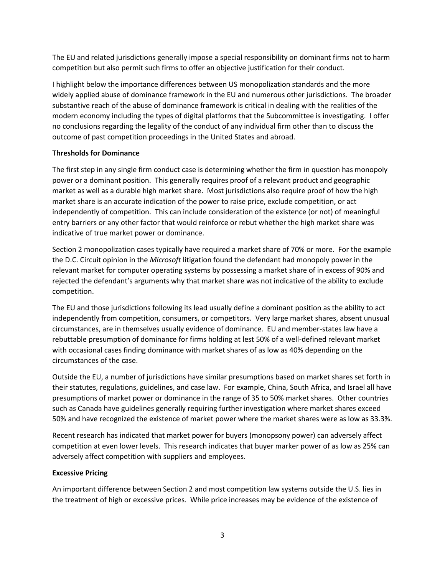The EU and related jurisdictions generally impose a special responsibility on dominant firms not to harm competition but also permit such firms to offer an objective justification for their conduct.

I highlight below the importance differences between US monopolization standards and the more widely applied abuse of dominance framework in the EU and numerous other jurisdictions. The broader substantive reach of the abuse of dominance framework is critical in dealing with the realities of the modern economy including the types of digital platforms that the Subcommittee is investigating. I offer no conclusions regarding the legality of the conduct of any individual firm other than to discuss the outcome of past competition proceedings in the United States and abroad.

### **Thresholds for Dominance**

The first step in any single firm conduct case is determining whether the firm in question has monopoly power or a dominant position. This generally requires proof of a relevant product and geographic market as well as a durable high market share. Most jurisdictions also require proof of how the high market share is an accurate indication of the power to raise price, exclude competition, or act independently of competition. This can include consideration of the existence (or not) of meaningful entry barriers or any other factor that would reinforce or rebut whether the high market share was indicative of true market power or dominance.

Section 2 monopolization cases typically have required a market share of 70% or more. For the example the D.C. Circuit opinion in the *Microsoft* litigation found the defendant had monopoly power in the relevant market for computer operating systems by possessing a market share of in excess of 90% and rejected the defendant's arguments why that market share was not indicative of the ability to exclude competition.

The EU and those jurisdictions following its lead usually define a dominant position as the ability to act independently from competition, consumers, or competitors. Very large market shares, absent unusual circumstances, are in themselves usually evidence of dominance. EU and member-states law have a rebuttable presumption of dominance for firms holding at lest 50% of a well-defined relevant market with occasional cases finding dominance with market shares of as low as 40% depending on the circumstances of the case.

Outside the EU, a number of jurisdictions have similar presumptions based on market shares set forth in their statutes, regulations, guidelines, and case law. For example, China, South Africa, and Israel all have presumptions of market power or dominance in the range of 35 to 50% market shares. Other countries such as Canada have guidelines generally requiring further investigation where market shares exceed 50% and have recognized the existence of market power where the market shares were as low as 33.3%.

Recent research has indicated that market power for buyers (monopsony power) can adversely affect competition at even lower levels. This research indicates that buyer marker power of as low as 25% can adversely affect competition with suppliers and employees.

# **Excessive Pricing**

An important difference between Section 2 and most competition law systems outside the U.S. lies in the treatment of high or excessive prices. While price increases may be evidence of the existence of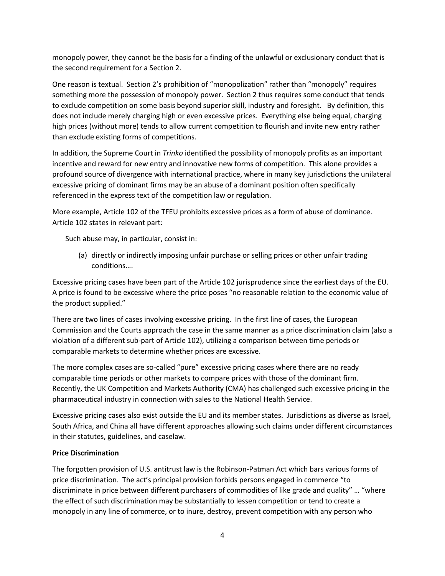monopoly power, they cannot be the basis for a finding of the unlawful or exclusionary conduct that is the second requirement for a Section 2.

One reason is textual. Section 2's prohibition of "monopolization" rather than "monopoly" requires something more the possession of monopoly power. Section 2 thus requires some conduct that tends to exclude competition on some basis beyond superior skill, industry and foresight. By definition, this does not include merely charging high or even excessive prices. Everything else being equal, charging high prices (without more) tends to allow current competition to flourish and invite new entry rather than exclude existing forms of competitions.

In addition, the Supreme Court in *Trinko* identified the possibility of monopoly profits as an important incentive and reward for new entry and innovative new forms of competition. This alone provides a profound source of divergence with international practice, where in many key jurisdictions the unilateral excessive pricing of dominant firms may be an abuse of a dominant position often specifically referenced in the express text of the competition law or regulation.

More example, Article 102 of the TFEU prohibits excessive prices as a form of abuse of dominance. Article 102 states in relevant part:

Such abuse may, in particular, consist in:

(a) directly or indirectly imposing unfair purchase or selling prices or other unfair trading conditions….

Excessive pricing cases have been part of the Article 102 jurisprudence since the earliest days of the EU. A price is found to be excessive where the price poses "no reasonable relation to the economic value of the product supplied."

There are two lines of cases involving excessive pricing. In the first line of cases, the European Commission and the Courts approach the case in the same manner as a price discrimination claim (also a violation of a different sub-part of Article 102), utilizing a comparison between time periods or comparable markets to determine whether prices are excessive.

The more complex cases are so-called "pure" excessive pricing cases where there are no ready comparable time periods or other markets to compare prices with those of the dominant firm. Recently, the UK Competition and Markets Authority (CMA) has challenged such excessive pricing in the pharmaceutical industry in connection with sales to the National Health Service.

Excessive pricing cases also exist outside the EU and its member states. Jurisdictions as diverse as Israel, South Africa, and China all have different approaches allowing such claims under different circumstances in their statutes, guidelines, and caselaw.

### **Price Discrimination**

The forgotten provision of U.S. antitrust law is the Robinson-Patman Act which bars various forms of price discrimination. The act's principal provision forbids persons engaged in commerce "to discriminate in price between different purchasers of commodities of like grade and quality" … "where the effect of such discrimination may be substantially to lessen competition or tend to create a monopoly in any line of commerce, or to inure, destroy, prevent competition with any person who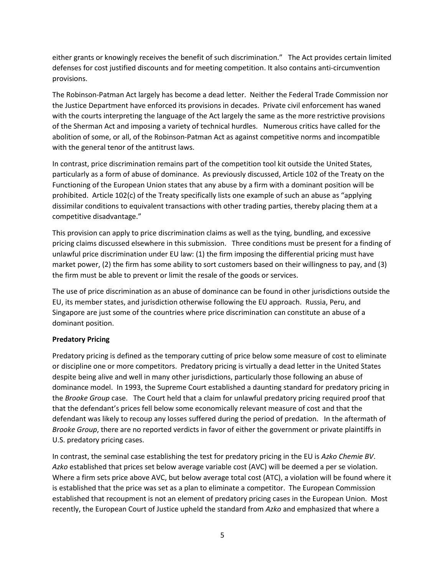either grants or knowingly receives the benefit of such discrimination." The Act provides certain limited defenses for cost justified discounts and for meeting competition. It also contains anti-circumvention provisions.

The Robinson-Patman Act largely has become a dead letter. Neither the Federal Trade Commission nor the Justice Department have enforced its provisions in decades. Private civil enforcement has waned with the courts interpreting the language of the Act largely the same as the more restrictive provisions of the Sherman Act and imposing a variety of technical hurdles. Numerous critics have called for the abolition of some, or all, of the Robinson-Patman Act as against competitive norms and incompatible with the general tenor of the antitrust laws.

In contrast, price discrimination remains part of the competition tool kit outside the United States, particularly as a form of abuse of dominance. As previously discussed, Article 102 of the Treaty on the Functioning of the European Union states that any abuse by a firm with a dominant position will be prohibited. Article 102(c) of the Treaty specifically lists one example of such an abuse as "applying dissimilar conditions to equivalent transactions with other trading parties, thereby placing them at a competitive disadvantage."

This provision can apply to price discrimination claims as well as the tying, bundling, and excessive pricing claims discussed elsewhere in this submission. Three conditions must be present for a finding of unlawful price discrimination under EU law: (1) the firm imposing the differential pricing must have market power, (2) the firm has some ability to sort customers based on their willingness to pay, and (3) the firm must be able to prevent or limit the resale of the goods or services.

The use of price discrimination as an abuse of dominance can be found in other jurisdictions outside the EU, its member states, and jurisdiction otherwise following the EU approach. Russia, Peru, and Singapore are just some of the countries where price discrimination can constitute an abuse of a dominant position.

# **Predatory Pricing**

Predatory pricing is defined as the temporary cutting of price below some measure of cost to eliminate or discipline one or more competitors. Predatory pricing is virtually a dead letter in the United States despite being alive and well in many other jurisdictions, particularly those following an abuse of dominance model. In 1993, the Supreme Court established a daunting standard for predatory pricing in the *Brooke Group* case. The Court held that a claim for unlawful predatory pricing required proof that that the defendant's prices fell below some economically relevant measure of cost and that the defendant was likely to recoup any losses suffered during the period of predation. In the aftermath of *Brooke Group*, there are no reported verdicts in favor of either the government or private plaintiffs in U.S. predatory pricing cases.

In contrast, the seminal case establishing the test for predatory pricing in the EU is *Azko Chemie BV*. *Azko* established that prices set below average variable cost (AVC) will be deemed a per se violation. Where a firm sets price above AVC, but below average total cost (ATC), a violation will be found where it is established that the price was set as a plan to eliminate a competitor. The European Commission established that recoupment is not an element of predatory pricing cases in the European Union. Most recently, the European Court of Justice upheld the standard from *Azko* and emphasized that where a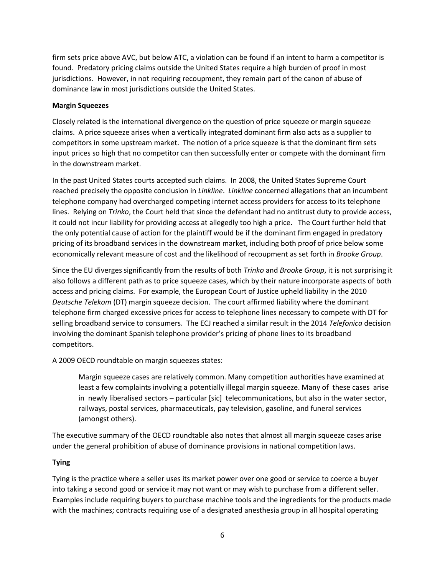firm sets price above AVC, but below ATC, a violation can be found if an intent to harm a competitor is found. Predatory pricing claims outside the United States require a high burden of proof in most jurisdictions. However, in not requiring recoupment, they remain part of the canon of abuse of dominance law in most jurisdictions outside the United States.

#### **Margin Squeezes**

Closely related is the international divergence on the question of price squeeze or margin squeeze claims. A price squeeze arises when a vertically integrated dominant firm also acts as a supplier to competitors in some upstream market. The notion of a price squeeze is that the dominant firm sets input prices so high that no competitor can then successfully enter or compete with the dominant firm in the downstream market.

In the past United States courts accepted such claims. In 2008, the United States Supreme Court reached precisely the opposite conclusion in *Linkline*. *Linkline* concerned allegations that an incumbent telephone company had overcharged competing internet access providers for access to its telephone lines. Relying on *Trinko*, the Court held that since the defendant had no antitrust duty to provide access, it could not incur liability for providing access at allegedly too high a price. The Court further held that the only potential cause of action for the plaintiff would be if the dominant firm engaged in predatory pricing of its broadband services in the downstream market, including both proof of price below some economically relevant measure of cost and the likelihood of recoupment as set forth in *Brooke Group*.

Since the EU diverges significantly from the results of both *Trinko* and *Brooke Group*, it is not surprising it also follows a different path as to price squeeze cases, which by their nature incorporate aspects of both access and pricing claims. For example, the European Court of Justice upheld liability in the 2010 *Deutsche Telekom* (DT) margin squeeze decision. The court affirmed liability where the dominant telephone firm charged excessive prices for access to telephone lines necessary to compete with DT for selling broadband service to consumers. The ECJ reached a similar result in the 2014 *Telefonica* decision involving the dominant Spanish telephone provider's pricing of phone lines to its broadband competitors.

A 2009 OECD roundtable on margin squeezes states:

Margin squeeze cases are relatively common. Many competition authorities have examined at least a few complaints involving a potentially illegal margin squeeze. Many of these cases arise in newly liberalised sectors – particular [sic] telecommunications, but also in the water sector, railways, postal services, pharmaceuticals, pay television, gasoline, and funeral services (amongst others).

The executive summary of the OECD roundtable also notes that almost all margin squeeze cases arise under the general prohibition of abuse of dominance provisions in national competition laws.

### **Tying**

Tying is the practice where a seller uses its market power over one good or service to coerce a buyer into taking a second good or service it may not want or may wish to purchase from a different seller. Examples include requiring buyers to purchase machine tools and the ingredients for the products made with the machines; contracts requiring use of a designated anesthesia group in all hospital operating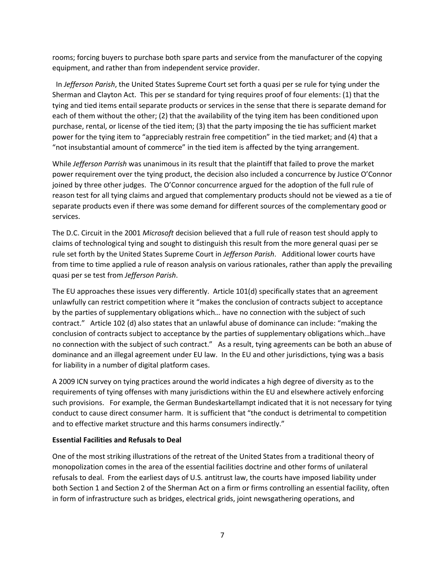rooms; forcing buyers to purchase both spare parts and service from the manufacturer of the copying equipment, and rather than from independent service provider.

 In *Jefferson Parish*, the United States Supreme Court set forth a quasi per se rule for tying under the Sherman and Clayton Act. This per se standard for tying requires proof of four elements: (1) that the tying and tied items entail separate products or services in the sense that there is separate demand for each of them without the other; (2) that the availability of the tying item has been conditioned upon purchase, rental, or license of the tied item; (3) that the party imposing the tie has sufficient market power for the tying item to "appreciably restrain free competition" in the tied market; and (4) that a "not insubstantial amount of commerce" in the tied item is affected by the tying arrangement.

While *Jefferson Parrish* was unanimous in its result that the plaintiff that failed to prove the market power requirement over the tying product, the decision also included a concurrence by Justice O'Connor joined by three other judges. The O'Connor concurrence argued for the adoption of the full rule of reason test for all tying claims and argued that complementary products should not be viewed as a tie of separate products even if there was some demand for different sources of the complementary good or services.

The D.C. Circuit in the 2001 *Microsoft* decision believed that a full rule of reason test should apply to claims of technological tying and sought to distinguish this result from the more general quasi per se rule set forth by the United States Supreme Court in *Jefferson Parish*. Additional lower courts have from time to time applied a rule of reason analysis on various rationales, rather than apply the prevailing quasi per se test from *Jefferson Parish*.

The EU approaches these issues very differently. Article 101(d) specifically states that an agreement unlawfully can restrict competition where it "makes the conclusion of contracts subject to acceptance by the parties of supplementary obligations which… have no connection with the subject of such contract." Article 102 (d) also states that an unlawful abuse of dominance can include: "making the conclusion of contracts subject to acceptance by the parties of supplementary obligations which…have no connection with the subject of such contract." As a result, tying agreements can be both an abuse of dominance and an illegal agreement under EU law. In the EU and other jurisdictions, tying was a basis for liability in a number of digital platform cases.

A 2009 ICN survey on tying practices around the world indicates a high degree of diversity as to the requirements of tying offenses with many jurisdictions within the EU and elsewhere actively enforcing such provisions. For example, the German Bundeskartellampt indicated that it is not necessary for tying conduct to cause direct consumer harm. It is sufficient that "the conduct is detrimental to competition and to effective market structure and this harms consumers indirectly."

### **Essential Facilities and Refusals to Deal**

One of the most striking illustrations of the retreat of the United States from a traditional theory of monopolization comes in the area of the essential facilities doctrine and other forms of unilateral refusals to deal. From the earliest days of U.S. antitrust law, the courts have imposed liability under both Section 1 and Section 2 of the Sherman Act on a firm or firms controlling an essential facility, often in form of infrastructure such as bridges, electrical grids, joint newsgathering operations, and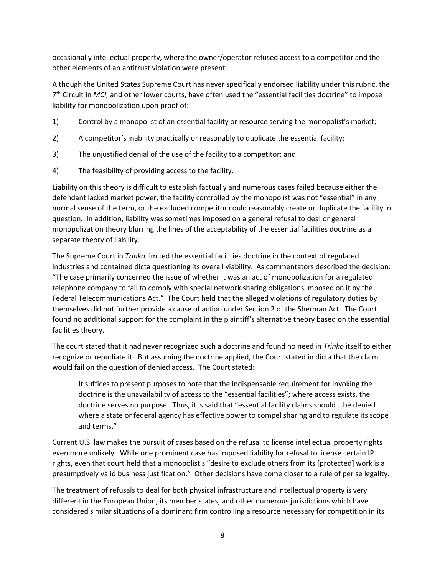occasionally intellectual property, where the owner/operator refused access to a competitor and the other elements of an antitrust violation were present.

Although the United States Supreme Court has never specifically endorsed liability under this rubric, the 7 th Circuit in *MCI,* and other lower courts, have often used the "essential facilities doctrine" to impose liability for monopolization upon proof of:

- 1) Control by a monopolist of an essential facility or resource serving the monopolist's market;
- 2) A competitor's inability practically or reasonably to duplicate the essential facility;
- 3) The unjustified denial of the use of the facility to a competitor; and
- 4) The feasibility of providing access to the facility.

Liability on this theory is difficult to establish factually and numerous cases failed because either the defendant lacked market power, the facility controlled by the monopolist was not "essential" in any normal sense of the term, or the excluded competitor could reasonably create or duplicate the facility in question. In addition, liability was sometimes imposed on a general refusal to deal or general monopolization theory blurring the lines of the acceptability of the essential facilities doctrine as a separate theory of liability.

The Supreme Court in *Trinko* limited the essential facilities doctrine in the context of regulated industries and contained dicta questioning its overall viability. As commentators described the decision: "The case primarily concerned the issue of whether it was an act of monopolization for a regulated telephone company to fail to comply with special network sharing obligations imposed on it by the Federal Telecommunications Act." The Court held that the alleged violations of regulatory duties by themselves did not further provide a cause of action under Section 2 of the Sherman Act. The Court found no additional support for the complaint in the plaintiff's alternative theory based on the essential facilities theory.

The court stated that it had never recognized such a doctrine and found no need in *Trinko* itself to either recognize or repudiate it. But assuming the doctrine applied, the Court stated in dicta that the claim would fail on the question of denied access. The Court stated:

It suffices to present purposes to note that the indispensable requirement for invoking the doctrine is the unavailability of access to the "essential facilities"; where access exists, the doctrine serves no purpose. Thus, it is said that "essential facility claims should …be denied where a state or federal agency has effective power to compel sharing and to regulate its scope and terms."

Current U.S. law makes the pursuit of cases based on the refusal to license intellectual property rights even more unlikely. While one prominent case has imposed liability for refusal to license certain IP rights, even that court held that a monopolist's "desire to exclude others from its [protected] work is a presumptively valid business justification." Other decisions have come closer to a rule of per se legality.

The treatment of refusals to deal for both physical infrastructure and intellectual property is very different in the European Union, its member states, and other numerous jurisdictions which have considered similar situations of a dominant firm controlling a resource necessary for competition in its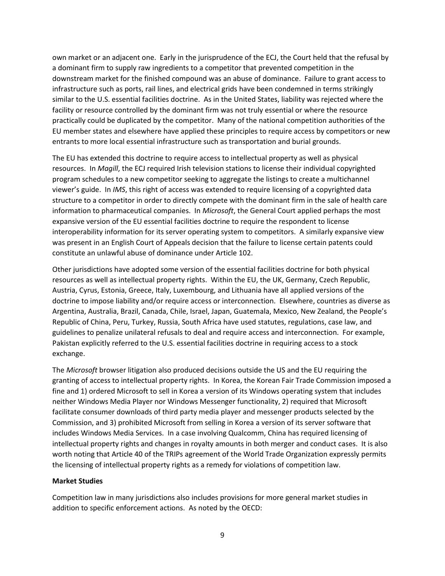own market or an adjacent one. Early in the jurisprudence of the ECJ, the Court held that the refusal by a dominant firm to supply raw ingredients to a competitor that prevented competition in the downstream market for the finished compound was an abuse of dominance. Failure to grant access to infrastructure such as ports, rail lines, and electrical grids have been condemned in terms strikingly similar to the U.S. essential facilities doctrine. As in the United States, liability was rejected where the facility or resource controlled by the dominant firm was not truly essential or where the resource practically could be duplicated by the competitor. Many of the national competition authorities of the EU member states and elsewhere have applied these principles to require access by competitors or new entrants to more local essential infrastructure such as transportation and burial grounds.

The EU has extended this doctrine to require access to intellectual property as well as physical resources. In *Magill*, the ECJ required Irish television stations to license their individual copyrighted program schedules to a new competitor seeking to aggregate the listings to create a multichannel viewer's guide. In *IMS*, this right of access was extended to require licensing of a copyrighted data structure to a competitor in order to directly compete with the dominant firm in the sale of health care information to pharmaceutical companies. In *Microsoft*, the General Court applied perhaps the most expansive version of the EU essential facilities doctrine to require the respondent to license interoperability information for its server operating system to competitors. A similarly expansive view was present in an English Court of Appeals decision that the failure to license certain patents could constitute an unlawful abuse of dominance under Article 102.

Other jurisdictions have adopted some version of the essential facilities doctrine for both physical resources as well as intellectual property rights. Within the EU, the UK, Germany, Czech Republic, Austria, Cyrus, Estonia, Greece, Italy, Luxembourg, and Lithuania have all applied versions of the doctrine to impose liability and/or require access or interconnection. Elsewhere, countries as diverse as Argentina, Australia, Brazil, Canada, Chile, Israel, Japan, Guatemala, Mexico, New Zealand, the People's Republic of China, Peru, Turkey, Russia, South Africa have used statutes, regulations, case law, and guidelines to penalize unilateral refusals to deal and require access and interconnection. For example, Pakistan explicitly referred to the U.S. essential facilities doctrine in requiring access to a stock exchange.

The *Microsoft* browser litigation also produced decisions outside the US and the EU requiring the granting of access to intellectual property rights. In Korea, the Korean Fair Trade Commission imposed a fine and 1) ordered Microsoft to sell in Korea a version of its Windows operating system that includes neither Windows Media Player nor Windows Messenger functionality, 2) required that Microsoft facilitate consumer downloads of third party media player and messenger products selected by the Commission, and 3) prohibited Microsoft from selling in Korea a version of its server software that includes Windows Media Services. In a case involving Qualcomm, China has required licensing of intellectual property rights and changes in royalty amounts in both merger and conduct cases. It is also worth noting that Article 40 of the TRIPs agreement of the World Trade Organization expressly permits the licensing of intellectual property rights as a remedy for violations of competition law.

#### **Market Studies**

Competition law in many jurisdictions also includes provisions for more general market studies in addition to specific enforcement actions. As noted by the OECD: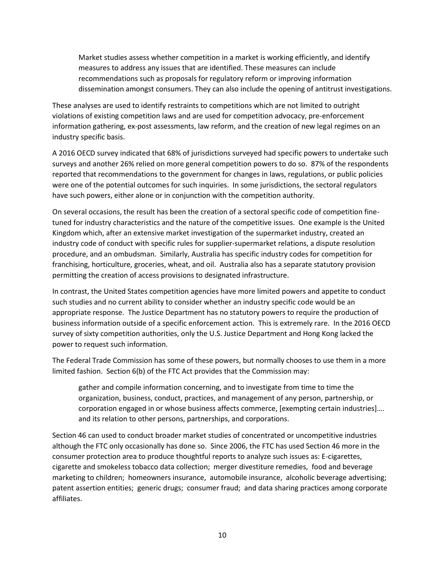Market studies assess whether competition in a market is working efficiently, and identify measures to address any issues that are identified. These measures can include recommendations such as proposals for regulatory reform or improving information dissemination amongst consumers. They can also include the opening of antitrust investigations.

These analyses are used to identify restraints to competitions which are not limited to outright violations of existing competition laws and are used for competition advocacy, pre-enforcement information gathering, ex-post assessments, law reform, and the creation of new legal regimes on an industry specific basis.

A 2016 OECD survey indicated that 68% of jurisdictions surveyed had specific powers to undertake such surveys and another 26% relied on more general competition powers to do so. 87% of the respondents reported that recommendations to the government for changes in laws, regulations, or public policies were one of the potential outcomes for such inquiries. In some jurisdictions, the sectoral regulators have such powers, either alone or in conjunction with the competition authority.

On several occasions, the result has been the creation of a sectoral specific code of competition finetuned for industry characteristics and the nature of the competitive issues. One example is the United Kingdom which, after an extensive market investigation of the supermarket industry, created an industry code of conduct with specific rules for supplier-supermarket relations, a dispute resolution procedure, and an ombudsman. Similarly, Australia has specific industry codes for competition for franchising, horticulture, groceries, wheat, and oil. Australia also has a separate statutory provision permitting the creation of access provisions to designated infrastructure.

In contrast, the United States competition agencies have more limited powers and appetite to conduct such studies and no current ability to consider whether an industry specific code would be an appropriate response. The Justice Department has no statutory powers to require the production of business information outside of a specific enforcement action. This is extremely rare. In the 2016 OECD survey of sixty competition authorities, only the U.S. Justice Department and Hong Kong lacked the power to request such information.

The Federal Trade Commission has some of these powers, but normally chooses to use them in a more limited fashion. Section 6(b) of the FTC Act provides that the Commission may:

gather and compile information concerning, and to investigate from time to time the organization, business, conduct, practices, and management of any person, partnership, or corporation engaged in or whose business affects commerce, [exempting certain industries]…. and its relation to other persons, partnerships, and corporations.

Section 46 can used to conduct broader market studies of concentrated or uncompetitive industries although the FTC only occasionally has done so. Since 2006, the FTC has used Section 46 more in the consumer protection area to produce thoughtful reports to analyze such issues as: E-cigarettes, cigarette and smokeless tobacco data collection; merger divestiture remedies, food and beverage marketing to children; homeowners insurance, automobile insurance, alcoholic beverage advertising; patent assertion entities; generic drugs; consumer fraud; and data sharing practices among corporate affiliates.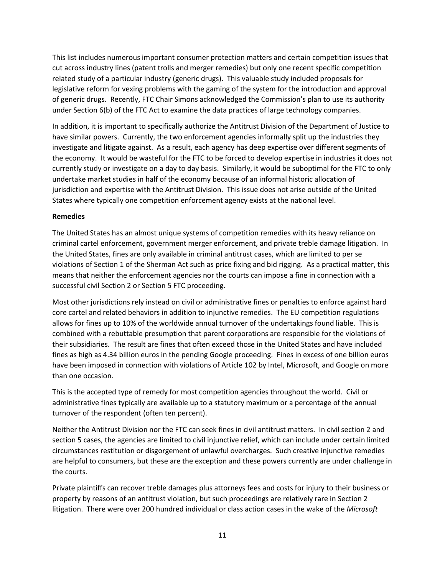This list includes numerous important consumer protection matters and certain competition issues that cut across industry lines (patent trolls and merger remedies) but only one recent specific competition related study of a particular industry (generic drugs). This valuable study included proposals for legislative reform for vexing problems with the gaming of the system for the introduction and approval of generic drugs. Recently, FTC Chair Simons acknowledged the Commission's plan to use its authority under Section 6(b) of the FTC Act to examine the data practices of large technology companies.

In addition, it is important to specifically authorize the Antitrust Division of the Department of Justice to have similar powers. Currently, the two enforcement agencies informally split up the industries they investigate and litigate against. As a result, each agency has deep expertise over different segments of the economy. It would be wasteful for the FTC to be forced to develop expertise in industries it does not currently study or investigate on a day to day basis. Similarly, it would be suboptimal for the FTC to only undertake market studies in half of the economy because of an informal historic allocation of jurisdiction and expertise with the Antitrust Division. This issue does not arise outside of the United States where typically one competition enforcement agency exists at the national level.

### **Remedies**

The United States has an almost unique systems of competition remedies with its heavy reliance on criminal cartel enforcement, government merger enforcement, and private treble damage litigation. In the United States, fines are only available in criminal antitrust cases, which are limited to per se violations of Section 1 of the Sherman Act such as price fixing and bid rigging. As a practical matter, this means that neither the enforcement agencies nor the courts can impose a fine in connection with a successful civil Section 2 or Section 5 FTC proceeding.

Most other jurisdictions rely instead on civil or administrative fines or penalties to enforce against hard core cartel and related behaviors in addition to injunctive remedies. The EU competition regulations allows for fines up to 10% of the worldwide annual turnover of the undertakings found liable. This is combined with a rebuttable presumption that parent corporations are responsible for the violations of their subsidiaries. The result are fines that often exceed those in the United States and have included fines as high as 4.34 billion euros in the pending Google proceeding. Fines in excess of one billion euros have been imposed in connection with violations of Article 102 by Intel, Microsoft, and Google on more than one occasion.

This is the accepted type of remedy for most competition agencies throughout the world. Civil or administrative fines typically are available up to a statutory maximum or a percentage of the annual turnover of the respondent (often ten percent).

Neither the Antitrust Division nor the FTC can seek fines in civil antitrust matters. In civil section 2 and section 5 cases, the agencies are limited to civil injunctive relief, which can include under certain limited circumstances restitution or disgorgement of unlawful overcharges. Such creative injunctive remedies are helpful to consumers, but these are the exception and these powers currently are under challenge in the courts.

Private plaintiffs can recover treble damages plus attorneys fees and costs for injury to their business or property by reasons of an antitrust violation, but such proceedings are relatively rare in Section 2 litigation. There were over 200 hundred individual or class action cases in the wake of the *Microsoft*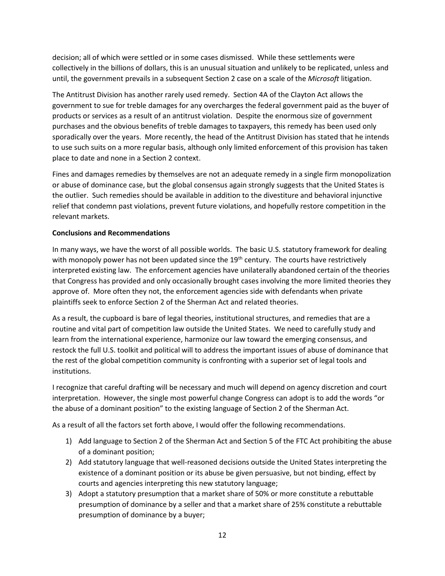decision; all of which were settled or in some cases dismissed. While these settlements were collectively in the billions of dollars, this is an unusual situation and unlikely to be replicated, unless and until, the government prevails in a subsequent Section 2 case on a scale of the *Microsoft* litigation.

The Antitrust Division has another rarely used remedy. Section 4A of the Clayton Act allows the government to sue for treble damages for any overcharges the federal government paid as the buyer of products or services as a result of an antitrust violation. Despite the enormous size of government purchases and the obvious benefits of treble damages to taxpayers, this remedy has been used only sporadically over the years. More recently, the head of the Antitrust Division has stated that he intends to use such suits on a more regular basis, although only limited enforcement of this provision has taken place to date and none in a Section 2 context.

Fines and damages remedies by themselves are not an adequate remedy in a single firm monopolization or abuse of dominance case, but the global consensus again strongly suggests that the United States is the outlier. Such remedies should be available in addition to the divestiture and behavioral injunctive relief that condemn past violations, prevent future violations, and hopefully restore competition in the relevant markets.

### **Conclusions and Recommendations**

In many ways, we have the worst of all possible worlds. The basic U.S. statutory framework for dealing with monopoly power has not been updated since the 19<sup>th</sup> century. The courts have restrictively interpreted existing law. The enforcement agencies have unilaterally abandoned certain of the theories that Congress has provided and only occasionally brought cases involving the more limited theories they approve of. More often they not, the enforcement agencies side with defendants when private plaintiffs seek to enforce Section 2 of the Sherman Act and related theories.

As a result, the cupboard is bare of legal theories, institutional structures, and remedies that are a routine and vital part of competition law outside the United States. We need to carefully study and learn from the international experience, harmonize our law toward the emerging consensus, and restock the full U.S. toolkit and political will to address the important issues of abuse of dominance that the rest of the global competition community is confronting with a superior set of legal tools and institutions.

I recognize that careful drafting will be necessary and much will depend on agency discretion and court interpretation. However, the single most powerful change Congress can adopt is to add the words "or the abuse of a dominant position" to the existing language of Section 2 of the Sherman Act.

As a result of all the factors set forth above, I would offer the following recommendations.

- 1) Add language to Section 2 of the Sherman Act and Section 5 of the FTC Act prohibiting the abuse of a dominant position;
- 2) Add statutory language that well-reasoned decisions outside the United States interpreting the existence of a dominant position or its abuse be given persuasive, but not binding, effect by courts and agencies interpreting this new statutory language;
- 3) Adopt a statutory presumption that a market share of 50% or more constitute a rebuttable presumption of dominance by a seller and that a market share of 25% constitute a rebuttable presumption of dominance by a buyer;